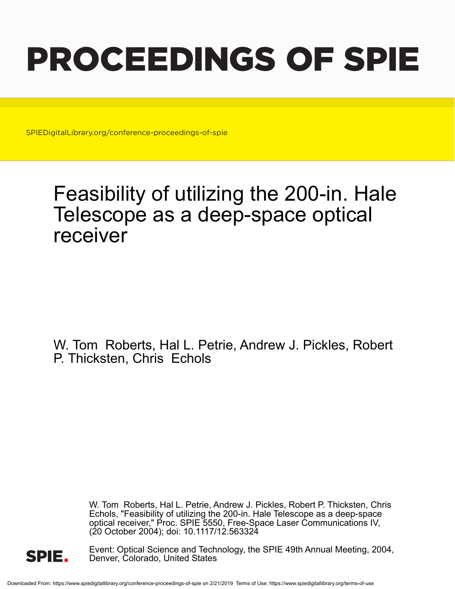# PROCEEDINGS OF SPIE

SPIEDigitalLibrary.org/conference-proceedings-of-spie

## Feasibility of utilizing the 200-in. Hale Telescope as a deep-space optical receiver

W. Tom Roberts, Hal L. Petrie, Andrew J. Pickles, Robert P. Thicksten, Chris Echols

> W. Tom Roberts, Hal L. Petrie, Andrew J. Pickles, Robert P. Thicksten, Chris Echols, "Feasibility of utilizing the 200-in. Hale Telescope as a deep-space optical receiver," Proc. SPIE 5550, Free-Space Laser Communications IV, (20 October 2004); doi: 10.1117/12.563324



Event: Optical Science and Technology, the SPIE 49th Annual Meeting, 2004, Denver, Colorado, United States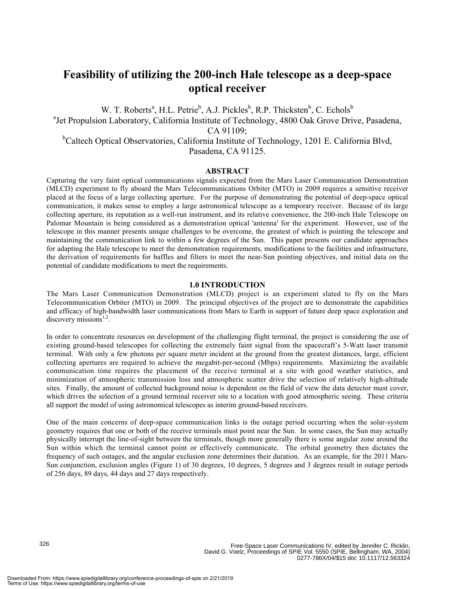### Feasibility of utilizing the 200-inch Hale telescope as a deep-space optical receiver

W. T. Roberts<sup>a</sup>, H.L. Petrie<sup>b</sup>, A.J. Pickles<sup>b</sup>, R.P. Thicksten<sup>b</sup>, C. Echols<sup>b</sup> <sup>a</sup>Jet Propulsion Laboratory, California Institute of Technology, 4800 Oak Grove Drive, Pasadena, CA 91109; <sup>b</sup>Caltech Optical Observatories, California Institute of Technology, 1201 E. California Blvd, Pasadena, CA 91125.

#### ABSTRACT

Capturing the very faint optical communications signals expected from the Mars Laser Communication Demonstration (MLCD) experiment to fly aboard the Mars Telecommunications Orbiter (MTO) in 2009 requires a sensitive receiver placed at the focus of a large collecting aperture. For the purpose of demonstrating the potential of deep-space optical communication, it makes sense to employ a large astronomical telescope as a temporary receiver. Because of its large collecting aperture, its reputation as a well-run instrument, and its relative convenience, the 200-inch Hale Telescope on Palomar Mountain is being considered as a demonstration optical 'antenna' for the experiment. However, use of the telescope in this manner presents unique challenges to be overcome, the greatest of which is pointing the telescope and maintaining the communication link to within a few degrees of the Sun. This paper presents our candidate approaches for adapting the Hale telescope to meet the demonstration requirements, modifications to the facilities and infrastructure, the derivation of requirements for baffles and filters to meet the near-Sun pointing objectives, and initial data on the potential of candidate modifications to meet the requirements.

#### 1.0 INTRODUCTION

The Mars Laser Communication Demonstration (MLCD) project is an experiment slated to fly on the Mars Telecommunication Orbiter (MTO) in 2009. The principal objectives of the project are to demonstrate the capabilities and efficacy of high-bandwidth laser communications from Mars to Earth in support of future deep space exploration and discovery missions $1,2$ .

In order to concentrate resources on development of the challenging flight terminal, the project is considering the use of existing ground-based telescopes for collecting the extremely faint signal from the spacecraft's 5-Watt laser transmit terminal. With only a few photons per square meter incident at the ground from the greatest distances, large, efficient collecting apertures are required to achieve the megabit-per-second (Mbps) requirements. Maximizing the available communication time requires the placement of the receive terminal at a site with good weather statistics, and minimization of atmospheric transmission loss and atmospheric scatter drive the selection of relatively high-altitude sites. Finally, the amount of collected background noise is dependent on the field of view the data detector must cover, which drives the selection of a ground terminal receiver site to a location with good atmospheric seeing. These criteria all support the model of using astronomical telescopes as interim ground-based receivers.

One of the main concerns of deep-space communication links is the outage period occurring when the solar-system geometry requires that one or both of the receive terminals must point near the Sun. In some cases, the Sun may actually physically interrupt the line-of-sight between the terminals, though more generally there is some angular zone around the Sun within which the terminal cannot point or effectively communicate. The orbital geometry then dictates the frequency of such outages, and the angular exclusion zone determines their duration. As an example, for the 2011 Mars-Sun conjunction, exclusion angles (Figure 1) of 30 degrees, 10 degrees, 5 degrees and 3 degrees result in outage periods of 256 days, 89 days, 44 days and 27 days respectively.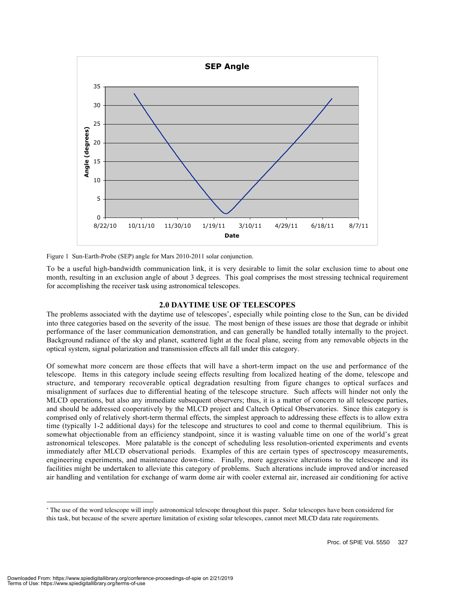

Figure 1 Sun-Earth-Probe (SEP) angle for Mars 2010-2011 solar conjunction.

To be a useful high-bandwidth communication link, it is very desirable to limit the solar exclusion time to about one month, resulting in an exclusion angle of about 3 degrees. This goal comprises the most stressing technical requirement for accomplishing the receiver task using astronomical telescopes.

#### 2.0 DAYTIME USE OF TELESCOPES

The problems associated with the daytime use of telescopes , especially while pointing close to the Sun, can be divided into three categories based on the severity of the issue. The most benign of these issues are those that degrade or inhibit performance of the laser communication demonstration, and can generally be handled totally internally to the project. Background radiance of the sky and planet, scattered light at the focal plane, seeing from any removable objects in the optical system, signal polarization and transmission effects all fall under this category.

Of somewhat more concern are those effects that will have a short-term impact on the use and performance of the telescope. Items in this category include seeing effects resulting from localized heating of the dome, telescope and structure, and temporary recoverable optical degradation resulting from figure changes to optical surfaces and misalignment of surfaces due to differential heating of the telescope structure. Such affects will hinder not only the MLCD operations, but also any immediate subsequent observers; thus, it is a matter of concern to all telescope parties, and should be addressed cooperatively by the MLCD project and Caltech Optical Observatories. Since this category is comprised only of relatively short-term thermal effects, the simplest approach to addressing these effects is to allow extra time (typically 1-2 additional days) for the telescope and structures to cool and come to thermal equilibrium. This is somewhat objectionable from an efficiency standpoint, since it is wasting valuable time on one of the world's great astronomical telescopes. More palatable is the concept of scheduling less resolution-oriented experiments and events immediately after MLCD observational periods. Examples of this are certain types of spectroscopy measurements, engineering experiments, and maintenance down-time. Finally, more aggressive alterations to the telescope and its facilities might be undertaken to alleviate this category of problems. Such alterations include improved and/or increased air handling and ventilation for exchange of warm dome air with cooler external air, increased air conditioning for active

 $\overline{a}$ 

 The use of the word telescope will imply astronomical telescope throughout this paper. Solar telescopes have been considered for this task, but because of the severe aperture limitation of existing solar telescopes, cannot meet MLCD data rate requirements.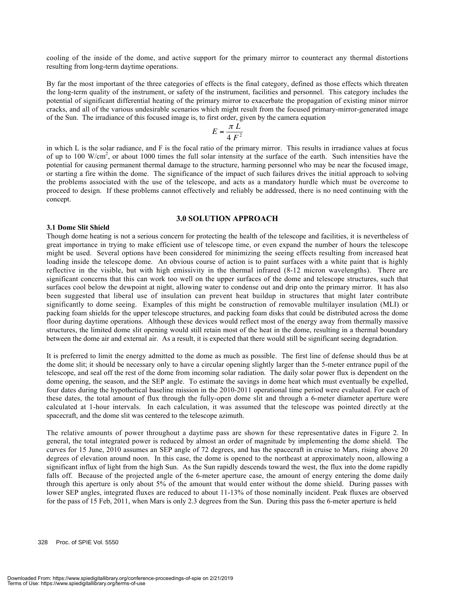cooling of the inside of the dome, and active support for the primary mirror to counteract any thermal distortions resulting from long-term daytime operations.

By far the most important of the three categories of effects is the final category, defined as those effects which threaten the long-term quality of the instrument, or safety of the instrument, facilities and personnel. This category includes the potential of significant differential heating of the primary mirror to exacerbate the propagation of existing minor mirror cracks, and all of the various undesirable scenarios which might result from the focused primary-mirror-generated image of the Sun. The irradiance of this focused image is, to first order, given by the camera equation

$$
E = \frac{\pi L}{4 F^2}
$$

in which L is the solar radiance, and F is the focal ratio of the primary mirror. This results in irradiance values at focus of up to 100 W/cm<sup>2</sup>, or about 1000 times the full solar intensity at the surface of the earth. Such intensities have the potential for causing permanent thermal damage to the structure, harming personnel who may be near the focused image, or starting a fire within the dome. The significance of the impact of such failures drives the initial approach to solving the problems associated with the use of the telescope, and acts as a mandatory hurdle which must be overcome to proceed to design. If these problems cannot effectively and reliably be addressed, there is no need continuing with the concept.

#### 3.0 SOLUTION APPROACH

#### 3.1 Dome Slit Shield

Though dome heating is not a serious concern for protecting the health of the telescope and facilities, it is nevertheless of great importance in trying to make efficient use of telescope time, or even expand the number of hours the telescope might be used. Several options have been considered for minimizing the seeing effects resulting from increased heat loading inside the telescope dome. An obvious course of action is to paint surfaces with a white paint that is highly reflective in the visible, but with high emissivity in the thermal infrared (8-12 micron wavelengths). There are significant concerns that this can work too well on the upper surfaces of the dome and telescope structures, such that surfaces cool below the dewpoint at night, allowing water to condense out and drip onto the primary mirror. It has also been suggested that liberal use of insulation can prevent heat buildup in structures that might later contribute significantly to dome seeing. Examples of this might be construction of removable multilayer insulation (MLI) or packing foam shields for the upper telescope structures, and packing foam disks that could be distributed across the dome floor during daytime operations. Although these devices would reflect most of the energy away from thermally massive structures, the limited dome slit opening would still retain most of the heat in the dome, resulting in a thermal boundary between the dome air and external air. As a result, it is expected that there would still be significant seeing degradation.

It is preferred to limit the energy admitted to the dome as much as possible. The first line of defense should thus be at the dome slit; it should be necessary only to have a circular opening slightly larger than the 5-meter entrance pupil of the telescope, and seal off the rest of the dome from incoming solar radiation. The daily solar power flux is dependent on the dome opening, the season, and the SEP angle. To estimate the savings in dome heat which must eventually be expelled, four dates during the hypothetical baseline mission in the 2010-2011 operational time period were evaluated. For each of these dates, the total amount of flux through the fully-open dome slit and through a 6-meter diameter aperture were calculated at 1-hour intervals. In each calculation, it was assumed that the telescope was pointed directly at the spacecraft, and the dome slit was centered to the telescope azimuth.

The relative amounts of power throughout a daytime pass are shown for these representative dates in Figure 2. In general, the total integrated power is reduced by almost an order of magnitude by implementing the dome shield. The curves for 15 June, 2010 assumes an SEP angle of 72 degrees, and has the spacecraft in cruise to Mars, rising above 20 degrees of elevation around noon. In this case, the dome is opened to the northeast at approximately noon, allowing a significant influx of light from the high Sun. As the Sun rapidly descends toward the west, the flux into the dome rapidly falls off. Because of the projected angle of the 6-meter aperture case, the amount of energy entering the dome daily through this aperture is only about 5% of the amount that would enter without the dome shield. During passes with lower SEP angles, integrated fluxes are reduced to about 11-13% of those nominally incident. Peak fluxes are observed for the pass of 15 Feb, 2011, when Mars is only 2.3 degrees from the Sun. During this pass the 6-meter aperture is held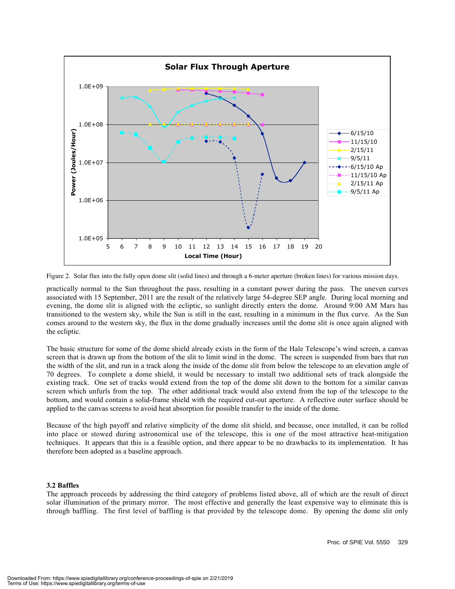

Figure 2. Solar flux into the fully open dome slit (solid lines) and through a 6-meter aperture (broken lines) for various mission days.

practically normal to the Sun throughout the pass, resulting in a constant power during the pass. The uneven curves associated with 15 September, 2011 are the result of the relatively large 54-degree SEP angle. During local morning and evening, the dome slit is aligned with the ecliptic, so sunlight directly enters the dome. Around 9:00 AM Mars has transitioned to the western sky, while the Sun is still in the east, resulting in a minimum in the flux curve. As the Sun comes around to the western sky, the flux in the dome gradually increases until the dome slit is once again aligned with the ecliptic.

The basic structure for some of the dome shield already exists in the form of the Hale Telescope's wind screen, a canvas screen that is drawn up from the bottom of the slit to limit wind in the dome. The screen is suspended from bars that run the width of the slit, and run in a track along the inside of the dome slit from below the telescope to an elevation angle of 70 degrees. To complete a dome shield, it would be necessary to install two additional sets of track alongside the existing track. One set of tracks would extend from the top of the dome slit down to the bottom for a similar canvas screen which unfurls from the top. The other additional track would also extend from the top of the telescope to the bottom, and would contain a solid-frame shield with the required cut-out aperture. A reflective outer surface should be applied to the canvas screens to avoid heat absorption for possible transfer to the inside of the dome.

Because of the high payoff and relative simplicity of the dome slit shield, and because, once installed, it can be rolled into place or stowed during astronomical use of the telescope, this is one of the most attractive heat-mitigation techniques. It appears that this is a feasible option, and there appear to be no drawbacks to its implementation. It has therefore been adopted as a baseline approach.

#### 3.2 Baffles

The approach proceeds by addressing the third category of problems listed above, all of which are the result of direct solar illumination of the primary mirror. The most effective and generally the least expensive way to eliminate this is through baffling. The first level of baffling is that provided by the telescope dome. By opening the dome slit only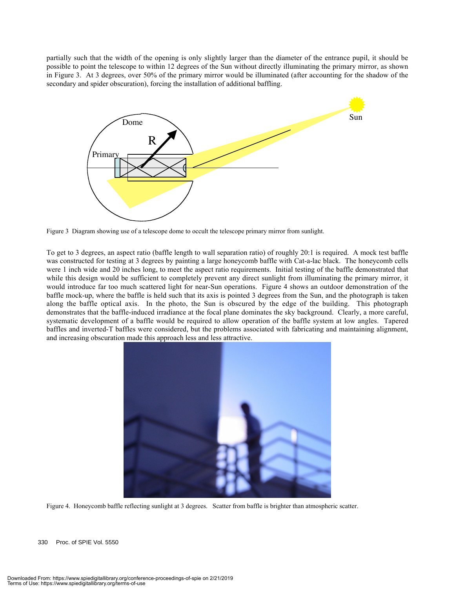partially such that the width of the opening is only slightly larger than the diameter of the entrance pupil, it should be possible to point the telescope to within 12 degrees of the Sun without directly illuminating the primary mirror, as shown in Figure 3. At 3 degrees, over 50% of the primary mirror would be illuminated (after accounting for the shadow of the secondary and spider obscuration), forcing the installation of additional baffling.





To get to 3 degrees, an aspect ratio (baffle length to wall separation ratio) of roughly 20:1 is required. A mock test baffle was constructed for testing at 3 degrees by painting a large honeycomb baffle with Cat-a-lac black. The honeycomb cells were 1 inch wide and 20 inches long, to meet the aspect ratio requirements. Initial testing of the baffle demonstrated that while this design would be sufficient to completely prevent any direct sunlight from illuminating the primary mirror, it would introduce far too much scattered light for near-Sun operations. Figure 4 shows an outdoor demonstration of the baffle mock-up, where the baffle is held such that its axis is pointed 3 degrees from the Sun, and the photograph is taken along the baffle optical axis. In the photo, the Sun is obscured by the edge of the building. This photograph demonstrates that the baffle-induced irradiance at the focal plane dominates the sky background. Clearly, a more careful, systematic development of a baffle would be required to allow operation of the baffle system at low angles. Tapered baffles and inverted-T baffles were considered, but the problems associated with fabricating and maintaining alignment, and increasing obscuration made this approach less and less attractive.



Figure 4. Honeycomb baffle reflecting sunlight at 3 degrees. Scatter from baffle is brighter than atmospheric scatter.

330 Proc. of SPIE Vol. 5550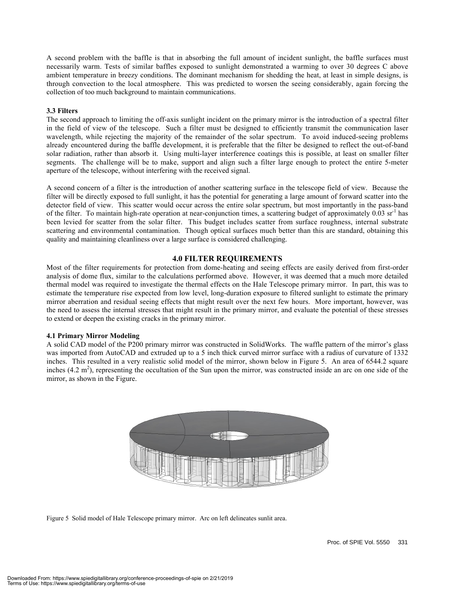A second problem with the baffle is that in absorbing the full amount of incident sunlight, the baffle surfaces must necessarily warm. Tests of similar baffles exposed to sunlight demonstrated a warming to over 30 degrees C above ambient temperature in breezy conditions. The dominant mechanism for shedding the heat, at least in simple designs, is through convection to the local atmosphere. This was predicted to worsen the seeing considerably, again forcing the collection of too much background to maintain communications.

#### 3.3 Filters

The second approach to limiting the off-axis sunlight incident on the primary mirror is the introduction of a spectral filter in the field of view of the telescope. Such a filter must be designed to efficiently transmit the communication laser wavelength, while rejecting the majority of the remainder of the solar spectrum. To avoid induced-seeing problems already encountered during the baffle development, it is preferable that the filter be designed to reflect the out-of-band solar radiation, rather than absorb it. Using multi-layer interference coatings this is possible, at least on smaller filter segments. The challenge will be to make, support and align such a filter large enough to protect the entire 5-meter aperture of the telescope, without interfering with the received signal.

A second concern of a filter is the introduction of another scattering surface in the telescope field of view. Because the filter will be directly exposed to full sunlight, it has the potential for generating a large amount of forward scatter into the detector field of view. This scatter would occur across the entire solar spectrum, but most importantly in the pass-band of the filter. To maintain high-rate operation at near-conjunction times, a scattering budget of approximately  $0.03 \text{ sr}^{-1}$  has been levied for scatter from the solar filter. This budget includes scatter from surface roughness, internal substrate scattering and environmental contamination. Though optical surfaces much better than this are standard, obtaining this quality and maintaining cleanliness over a large surface is considered challenging.

#### 4.0 FILTER REQUIREMENTS

Most of the filter requirements for protection from dome-heating and seeing effects are easily derived from first-order analysis of dome flux, similar to the calculations performed above. However, it was deemed that a much more detailed thermal model was required to investigate the thermal effects on the Hale Telescope primary mirror. In part, this was to estimate the temperature rise expected from low level, long-duration exposure to filtered sunlight to estimate the primary mirror aberration and residual seeing effects that might result over the next few hours. More important, however, was the need to assess the internal stresses that might result in the primary mirror, and evaluate the potential of these stresses to extend or deepen the existing cracks in the primary mirror.

#### 4.1 Primary Mirror Modeling

A solid CAD model of the P200 primary mirror was constructed in SolidWorks. The waffle pattern of the mirror's glass was imported from AutoCAD and extruded up to a 5 inch thick curved mirror surface with a radius of curvature of 1332 inches. This resulted in a very realistic solid model of the mirror, shown below in Figure 5. An area of 6544.2 square inches  $(4.2 \text{ m}^2)$ , representing the occultation of the Sun upon the mirror, was constructed inside an arc on one side of the mirror, as shown in the Figure.



Figure 5 Solid model of Hale Telescope primary mirror. Arc on left delineates sunlit area.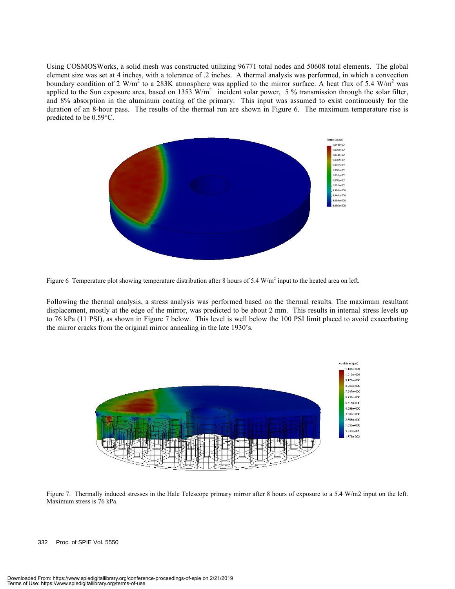Using COSMOSWorks, a solid mesh was constructed utilizing 96771 total nodes and 50608 total elements. The global element size was set at 4 inches, with a tolerance of .2 inches. A thermal analysis was performed, in which a convection boundary condition of 2 W/m<sup>2</sup> to a 283K atmosphere was applied to the mirror surface. A heat flux of 5.4 W/m<sup>2</sup> was applied to the Sun exposure area, based on 1353 W/m<sup>2</sup> incident solar power, 5 % transmission through the solar filter, and 8% absorption in the aluminum coating of the primary. This input was assumed to exist continuously for the duration of an 8-hour pass. The results of the thermal run are shown in Figure 6. The maximum temperature rise is predicted to be 0.59°C.



Figure 6 Temperature plot showing temperature distribution after 8 hours of 5.4 W/m<sup>2</sup> input to the heated area on left.

Following the thermal analysis, a stress analysis was performed based on the thermal results. The maximum resultant displacement, mostly at the edge of the mirror, was predicted to be about 2 mm. This results in internal stress levels up to 76 kPa (11 PSI), as shown in Figure 7 below. This level is well below the 100 PSI limit placed to avoid exacerbating the mirror cracks from the original mirror annealing in the late 1930's.



Figure 7. Thermally induced stresses in the Hale Telescope primary mirror after 8 hours of exposure to a 5.4 W/m2 input on the left. Maximum stress is 76 kPa.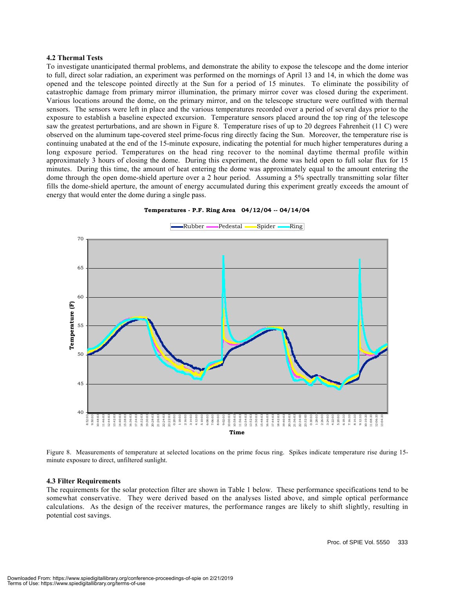#### 4.2 Thermal Tests

To investigate unanticipated thermal problems, and demonstrate the ability to expose the telescope and the dome interior to full, direct solar radiation, an experiment was performed on the mornings of April 13 and 14, in which the dome was opened and the telescope pointed directly at the Sun for a period of 15 minutes. To eliminate the possibility of catastrophic damage from primary mirror illumination, the primary mirror cover was closed during the experiment. Various locations around the dome, on the primary mirror, and on the telescope structure were outfitted with thermal sensors. The sensors were left in place and the various temperatures recorded over a period of several days prior to the exposure to establish a baseline expected excursion. Temperature sensors placed around the top ring of the telescope saw the greatest perturbations, and are shown in Figure 8. Temperature rises of up to 20 degrees Fahrenheit (11 C) were observed on the aluminum tape-covered steel prime-focus ring directly facing the Sun. Moreover, the temperature rise is continuing unabated at the end of the 15-minute exposure, indicating the potential for much higher temperatures during a long exposure period. Temperatures on the head ring recover to the nominal daytime thermal profile within approximately 3 hours of closing the dome. During this experiment, the dome was held open to full solar flux for 15 minutes. During this time, the amount of heat entering the dome was approximately equal to the amount entering the dome through the open dome-shield aperture over a 2 hour period. Assuming a 5% spectrally transmitting solar filter fills the dome-shield aperture, the amount of energy accumulated during this experiment greatly exceeds the amount of energy that would enter the dome during a single pass.



**Temperatures - P.F. Ring Area 04/12/04 -- 04/14/04**

Figure 8. Measurements of temperature at selected locations on the prime focus ring. Spikes indicate temperature rise during 15 minute exposure to direct, unfiltered sunlight.

#### 4.3 Filter Requirements

The requirements for the solar protection filter are shown in Table 1 below. These performance specifications tend to be somewhat conservative. They were derived based on the analyses listed above, and simple optical performance calculations. As the design of the receiver matures, the performance ranges are likely to shift slightly, resulting in potential cost savings.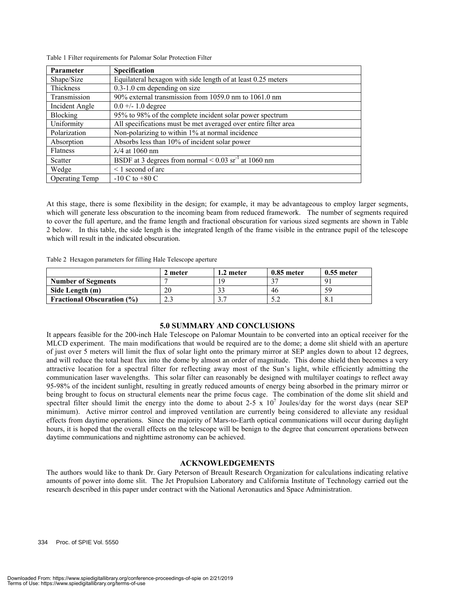| Table 1 Filter requirements for Palomar Solar Protection Filter |  |
|-----------------------------------------------------------------|--|
|-----------------------------------------------------------------|--|

| Parameter             | Specification                                                         |
|-----------------------|-----------------------------------------------------------------------|
| Shape/Size            | Equilateral hexagon with side length of at least 0.25 meters          |
| Thickness             | $0.3 - 1.0$ cm depending on size                                      |
| Transmission          | 90% external transmission from 1059.0 nm to 1061.0 nm                 |
| Incident Angle        | $0.0 + 1.0$ degree                                                    |
| <b>Blocking</b>       | 95% to 98% of the complete incident solar power spectrum              |
| Uniformity            | All specifications must be met averaged over entire filter area       |
| Polarization          | Non-polarizing to within 1% at normal incidence                       |
| Absorption            | Absorbs less than 10% of incident solar power                         |
| Flatness              | $\lambda$ /4 at 1060 nm                                               |
| Scatter               | BSDF at 3 degrees from normal $\leq 0.03$ sr <sup>-1</sup> at 1060 nm |
| Wedge                 | <1 second of arc                                                      |
| <b>Operating Temp</b> | $-10 C$ to $+80 C$                                                    |

At this stage, there is some flexibility in the design; for example, it may be advantageous to employ larger segments, which will generate less obscuration to the incoming beam from reduced framework. The number of segments required to cover the full aperture, and the frame length and fractional obscuration for various sized segments are shown in Table 2 below. In this table, the side length is the integrated length of the frame visible in the entrance pupil of the telescope which will result in the indicated obscuration.

Table 2 Hexagon parameters for filling Hale Telescope aperture

|                                   | 2 meter | 1.2 meter | $0.85$ meter | $0.55$ meter |
|-----------------------------------|---------|-----------|--------------|--------------|
| <b>Number of Segments</b>         |         | 19        |              |              |
| Side Length (m)                   | 20      | າາ        | 46           | 50           |
| <b>Fractional Obscuration (%)</b> | າາ      | .         |              | 8.1          |

#### 5.0 SUMMARY AND CONCLUSIONS

It appears feasible for the 200-inch Hale Telescope on Palomar Mountain to be converted into an optical receiver for the MLCD experiment. The main modifications that would be required are to the dome; a dome slit shield with an aperture of just over 5 meters will limit the flux of solar light onto the primary mirror at SEP angles down to about 12 degrees, and will reduce the total heat flux into the dome by almost an order of magnitude. This dome shield then becomes a very attractive location for a spectral filter for reflecting away most of the Sun's light, while efficiently admitting the communication laser wavelengths. This solar filter can reasonably be designed with multilayer coatings to reflect away 95-98% of the incident sunlight, resulting in greatly reduced amounts of energy being absorbed in the primary mirror or being brought to focus on structural elements near the prime focus cage. The combination of the dome slit shield and spectral filter should limit the energy into the dome to about 2-5 x  $10^7$  Joules/day for the worst days (near SEP minimum). Active mirror control and improved ventilation are currently being considered to alleviate any residual effects from daytime operations. Since the majority of Mars-to-Earth optical communications will occur during daylight hours, it is hoped that the overall effects on the telescope will be benign to the degree that concurrent operations between daytime communications and nighttime astronomy can be achieved.

#### ACKNOWLEDGEMENTS

The authors would like to thank Dr. Gary Peterson of Breault Research Organization for calculations indicating relative amounts of power into dome slit. The Jet Propulsion Laboratory and California Institute of Technology carried out the research described in this paper under contract with the National Aeronautics and Space Administration.